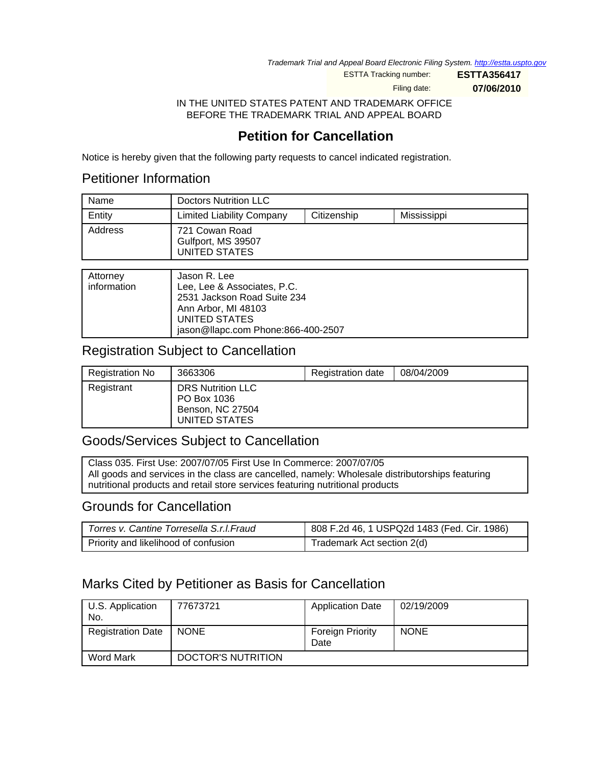Trademark Trial and Appeal Board Electronic Filing System. http://estta.uspto.gov

ESTTA Tracking number: **ESTTA356417**

Filing date: **07/06/2010**

IN THE UNITED STATES PATENT AND TRADEMARK OFFICE BEFORE THE TRADEMARK TRIAL AND APPEAL BOARD

# **Petition for Cancellation**

Notice is hereby given that the following party requests to cancel indicated registration.

## Petitioner Information

| Name    | <b>Doctors Nutrition LLC</b>                          |             |             |
|---------|-------------------------------------------------------|-------------|-------------|
| Entity  | <b>Limited Liability Company</b>                      | Citizenship | Mississippi |
| Address | 721 Cowan Road<br>Gulfport, MS 39507<br>UNITED STATES |             |             |

| Attorney<br>information | Jason R. Lee<br>Lee, Lee & Associates, P.C.<br>2531 Jackson Road Suite 234<br>Ann Arbor, MI 48103<br>UNITED STATES<br>jason@llapc.com Phone:866-400-2507 |
|-------------------------|----------------------------------------------------------------------------------------------------------------------------------------------------------|

## Registration Subject to Cancellation

| <b>Registration No</b> | 3663306                                                                      | <b>Registration date</b> | 08/04/2009 |
|------------------------|------------------------------------------------------------------------------|--------------------------|------------|
| Registrant             | <b>DRS Nutrition LLC</b><br>PO Box 1036<br>Benson, NC 27504<br>UNITED STATES |                          |            |

## Goods/Services Subject to Cancellation

Class 035. First Use: 2007/07/05 First Use In Commerce: 2007/07/05 All goods and services in the class are cancelled, namely: Wholesale distributorships featuring nutritional products and retail store services featuring nutritional products

## Grounds for Cancellation

| Torres v. Cantine Torresella S.r.I. Fraud | 808 F.2d 46, 1 USPQ2d 1483 (Fed. Cir. 1986) |
|-------------------------------------------|---------------------------------------------|
| Priority and likelihood of confusion      | Trademark Act section 2(d)                  |

# Marks Cited by Petitioner as Basis for Cancellation

| U.S. Application<br>No.  | 77673721           | <b>Application Date</b>         | 02/19/2009  |
|--------------------------|--------------------|---------------------------------|-------------|
| <b>Registration Date</b> | <b>NONE</b>        | <b>Foreign Priority</b><br>Date | <b>NONE</b> |
| Word Mark                | DOCTOR'S NUTRITION |                                 |             |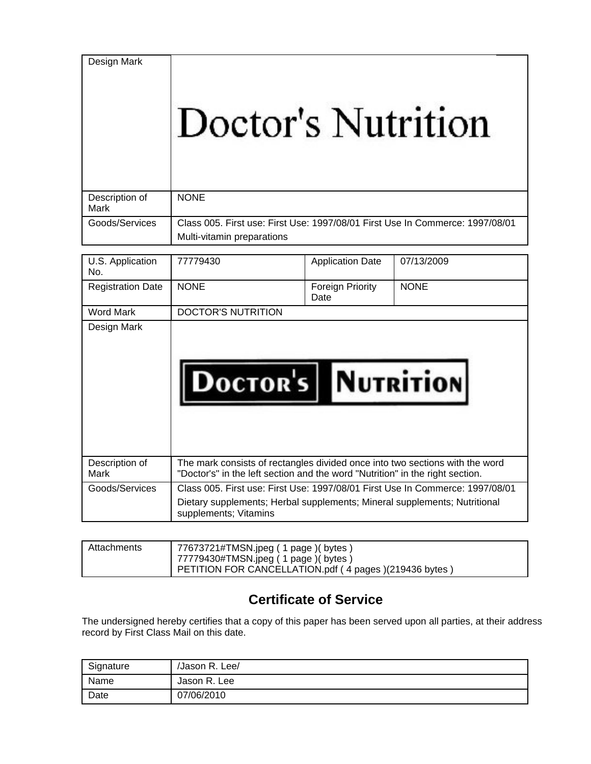Design Mark

# Doctor's Nutrition

| Description of<br>Mark | <b>NONE</b>                                                                   |
|------------------------|-------------------------------------------------------------------------------|
|                        |                                                                               |
| Goods/Services         | Class 005. First use: First Use: 1997/08/01 First Use In Commerce: 1997/08/01 |
|                        | Multi-vitamin preparations                                                    |

| U.S. Application<br>No.  | 77779430                                                                                                                                                                            | <b>Application Date</b>  | 07/13/2009  |
|--------------------------|-------------------------------------------------------------------------------------------------------------------------------------------------------------------------------------|--------------------------|-------------|
| <b>Registration Date</b> | <b>NONE</b>                                                                                                                                                                         | Foreign Priority<br>Date | <b>NONE</b> |
| <b>Word Mark</b>         | <b>DOCTOR'S NUTRITION</b>                                                                                                                                                           |                          |             |
| Design Mark              | <b>DOCTOR'S NUTRITION</b>                                                                                                                                                           |                          |             |
| Description of<br>Mark   | The mark consists of rectangles divided once into two sections with the word<br>"Doctor's" in the left section and the word "Nutrition" in the right section.                       |                          |             |
| Goods/Services           | Class 005. First use: First Use: 1997/08/01 First Use In Commerce: 1997/08/01<br>Dietary supplements; Herbal supplements; Mineral supplements; Nutritional<br>supplements; Vitamins |                          |             |

| Attachments | 77673721#TMSN.jpeg ( 1 page )( bytes )<br>1 77779430#TMSN.jpeg (1 page) (bytes) |
|-------------|---------------------------------------------------------------------------------|
|             | PETITION FOR CANCELLATION.pdf (4 pages) (219436 bytes)                          |

# **Certificate of Service**

The undersigned hereby certifies that a copy of this paper has been served upon all parties, at their address record by First Class Mail on this date.

| Signature | /Jason R. Lee/ |
|-----------|----------------|
| Name      | Jason R. Lee   |
| Date      | 07/06/2010     |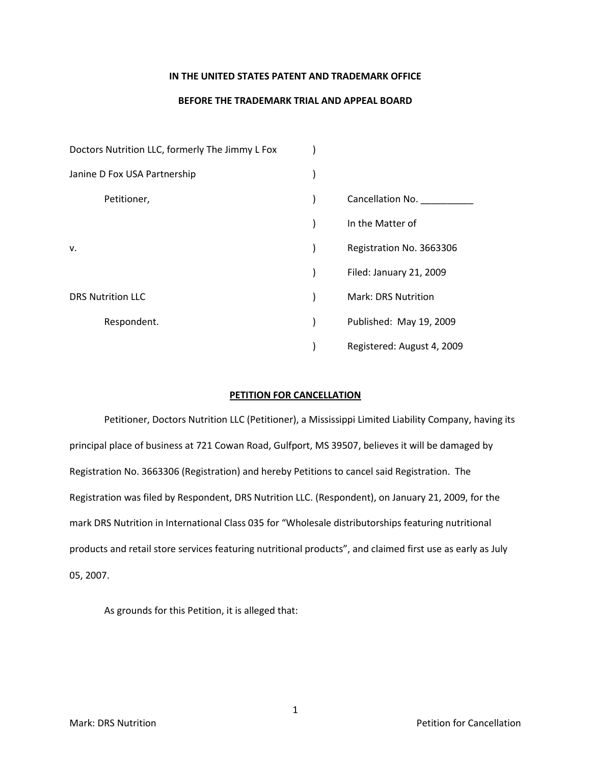#### **IN THE UNITED STATES PATENT AND TRADEMARK OFFICE**

### **BEFORE THE TRADEMARK TRIAL AND APPEAL BOARD**

| Doctors Nutrition LLC, formerly The Jimmy L Fox |                            |
|-------------------------------------------------|----------------------------|
| Janine D Fox USA Partnership                    |                            |
| Petitioner,                                     | Cancellation No.           |
|                                                 | In the Matter of           |
| v.                                              | Registration No. 3663306   |
|                                                 | Filed: January 21, 2009    |
| <b>DRS Nutrition LLC</b>                        | <b>Mark: DRS Nutrition</b> |
| Respondent.                                     | Published: May 19, 2009    |
|                                                 | Registered: August 4, 2009 |

### **PETITION FOR CANCELLATION**

Petitioner, Doctors Nutrition LLC (Petitioner), a Mississippi Limited Liability Company, having its principal place of business at 721 Cowan Road, Gulfport, MS 39507, believes it will be damaged by Registration No. 3663306 (Registration) and hereby Petitions to cancel said Registration. The Registration was filed by Respondent, DRS Nutrition LLC. (Respondent), on January 21, 2009, for the mark DRS Nutrition in International Class 035 for "Wholesale distributorships featuring nutritional products and retail store services featuring nutritional products", and claimed first use as early as July 05, 2007.

As grounds for this Petition, it is alleged that: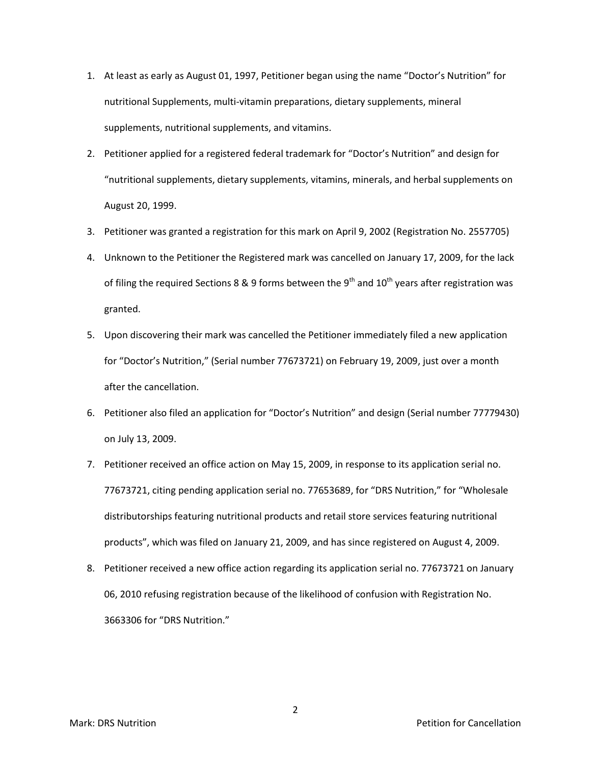- 1. At least as early as August 01, 1997, Petitioner began using the name "Doctor's Nutrition" for nutritional Supplements, multi-vitamin preparations, dietary supplements, mineral supplements, nutritional supplements, and vitamins.
- 2. Petitioner applied for a registered federal trademark for "Doctor's Nutrition" and design for "nutritional supplements, dietary supplements, vitamins, minerals, and herbal supplements on August 20, 1999.
- 3. Petitioner was granted a registration for this mark on April 9, 2002 (Registration No. 2557705)
- 4. Unknown to the Petitioner the Registered mark was cancelled on January 17, 2009, for the lack of filing the required Sections 8 & 9 forms between the 9<sup>th</sup> and 10<sup>th</sup> years after registration was granted.
- 5. Upon discovering their mark was cancelled the Petitioner immediately filed a new application for "Doctor's Nutrition," (Serial number 77673721) on February 19, 2009, just over a month after the cancellation.
- 6. Petitioner also filed an application for "Doctor's Nutrition" and design (Serial number 77779430) on July 13, 2009.
- 7. Petitioner received an office action on May 15, 2009, in response to its application serial no. 77673721, citing pending application serial no. 77653689, for "DRS Nutrition," for "Wholesale distributorships featuring nutritional products and retail store services featuring nutritional products", which was filed on January 21, 2009, and has since registered on August 4, 2009.
- 8. Petitioner received a new office action regarding its application serial no. 77673721 on January 06, 2010 refusing registration because of the likelihood of confusion with Registration No. 3663306 for "DRS Nutrition."

Mark: DRS Nutrition **Marking the Cancellation Petition** for Cancellation **Petition Petition Petition Petition** 

2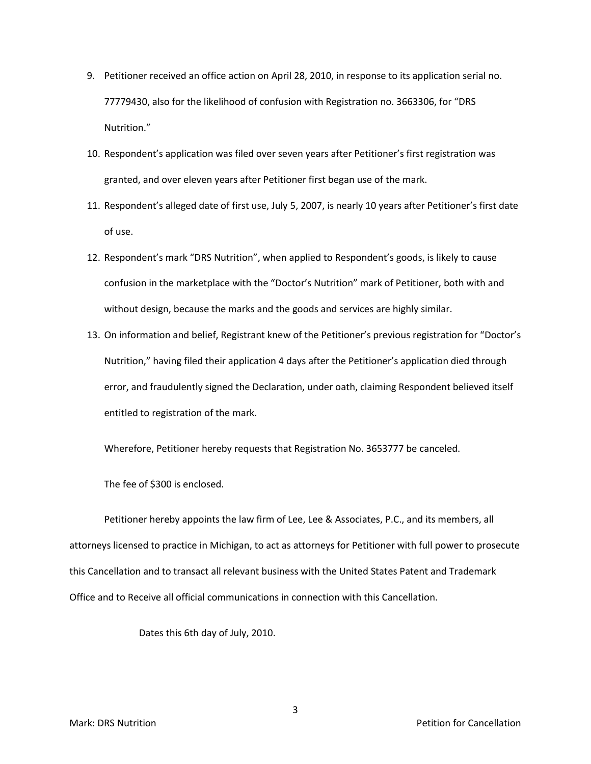- 9. Petitioner received an office action on April 28, 2010, in response to its application serial no. 77779430, also for the likelihood of confusion with Registration no. 3663306, for "DRS Nutrition."
- 10. Respondent's application was filed over seven years after Petitioner's first registration was granted, and over eleven years after Petitioner first began use of the mark.
- 11. Respondent's alleged date of first use, July 5, 2007, is nearly 10 years after Petitioner's first date of use.
- 12. Respondent's mark "DRS Nutrition", when applied to Respondent's goods, is likely to cause confusion in the marketplace with the "Doctor's Nutrition" mark of Petitioner, both with and without design, because the marks and the goods and services are highly similar.
- 13. On information and belief, Registrant knew of the Petitioner's previous registration for "Doctor's Nutrition," having filed their application 4 days after the Petitioner's application died through error, and fraudulently signed the Declaration, under oath, claiming Respondent believed itself entitled to registration of the mark.

Wherefore, Petitioner hereby requests that Registration No. 3653777 be canceled.

The fee of \$300 is enclosed.

Petitioner hereby appoints the law firm of Lee, Lee & Associates, P.C., and its members, all attorneys licensed to practice in Michigan, to act as attorneys for Petitioner with full power to prosecute this Cancellation and to transact all relevant business with the United States Patent and Trademark Office and to Receive all official communications in connection with this Cancellation.

Dates this 6th day of July, 2010.

3